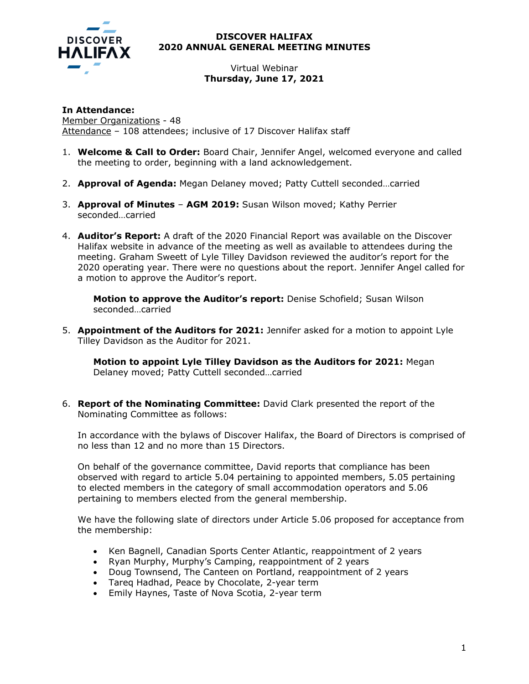

## **DISCOVER HALIFAX 2020 ANNUAL GENERAL MEETING MINUTES**

## Virtual Webinar **Thursday, June 17, 2021**

**In Attendance:**  Member Organizations - 48 Attendance – 108 attendees; inclusive of 17 Discover Halifax staff

- 1. **Welcome & Call to Order:** Board Chair, Jennifer Angel, welcomed everyone and called the meeting to order, beginning with a land acknowledgement.
- 2. **Approval of Agenda:** Megan Delaney moved; Patty Cuttell seconded…carried
- 3. **Approval of Minutes AGM 2019:** Susan Wilson moved; Kathy Perrier seconded…carried
- 4. **Auditor's Report:** A draft of the 2020 Financial Report was available on the Discover Halifax website in advance of the meeting as well as available to attendees during the meeting. Graham Sweett of Lyle Tilley Davidson reviewed the auditor's report for the 2020 operating year. There were no questions about the report. Jennifer Angel called for a motion to approve the Auditor's report.

**Motion to approve the Auditor's report:** Denise Schofield; Susan Wilson seconded…carried

5. **Appointment of the Auditors for 2021:** Jennifer asked for a motion to appoint Lyle Tilley Davidson as the Auditor for 2021.

**Motion to appoint Lyle Tilley Davidson as the Auditors for 2021:** Megan Delaney moved; Patty Cuttell seconded…carried

6. **Report of the Nominating Committee:** David Clark presented the report of the Nominating Committee as follows:

In accordance with the bylaws of Discover Halifax, the Board of Directors is comprised of no less than 12 and no more than 15 Directors.

On behalf of the governance committee, David reports that compliance has been observed with regard to article 5.04 pertaining to appointed members, 5.05 pertaining to elected members in the category of small accommodation operators and 5.06 pertaining to members elected from the general membership.

We have the following slate of directors under Article 5.06 proposed for acceptance from the membership:

- Ken Bagnell, Canadian Sports Center Atlantic, reappointment of 2 years
- Ryan Murphy, Murphy's Camping, reappointment of 2 years
- Doug Townsend, The Canteen on Portland, reappointment of 2 years
- Tareq Hadhad, Peace by Chocolate, 2-year term
- Emily Haynes, Taste of Nova Scotia, 2-year term